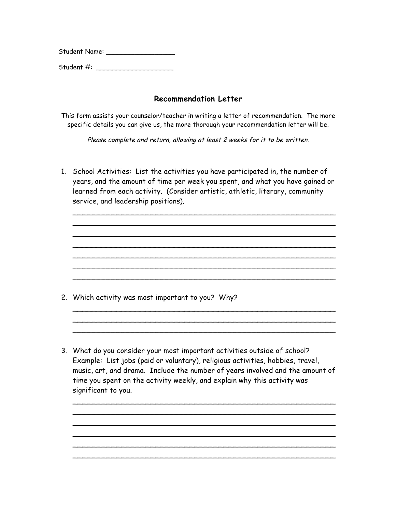Student Name:

Student #: \_\_\_\_\_\_\_\_\_\_\_\_\_\_\_\_\_\_\_

## **Recommendation Letter**

This form assists your counselor/teacher in writing a letter of recommendation. The more specific details you can give us, the more thorough your recommendation letter will be.

Please complete and return, allowing at least 2 weeks for it to be written.

1. School Activities: List the activities you have participated in, the number of years, and the amount of time per week you spent, and what you have gained or learned from each activity. (Consider artistic, athletic, literary, community service, and leadership positions).

\_\_\_\_\_\_\_\_\_\_\_\_\_\_\_\_\_\_\_\_\_\_\_\_\_\_\_\_\_\_\_\_\_\_\_\_\_\_\_\_\_\_\_\_\_\_\_\_\_\_\_\_\_\_ \_\_\_\_\_\_\_\_\_\_\_\_\_\_\_\_\_\_\_\_\_\_\_\_\_\_\_\_\_\_\_\_\_\_\_\_\_\_\_\_\_\_\_\_\_\_\_\_\_\_\_\_\_\_ \_\_\_\_\_\_\_\_\_\_\_\_\_\_\_\_\_\_\_\_\_\_\_\_\_\_\_\_\_\_\_\_\_\_\_\_\_\_\_\_\_\_\_\_\_\_\_\_\_\_\_\_\_\_ \_\_\_\_\_\_\_\_\_\_\_\_\_\_\_\_\_\_\_\_\_\_\_\_\_\_\_\_\_\_\_\_\_\_\_\_\_\_\_\_\_\_\_\_\_\_\_\_\_\_\_\_\_\_ \_\_\_\_\_\_\_\_\_\_\_\_\_\_\_\_\_\_\_\_\_\_\_\_\_\_\_\_\_\_\_\_\_\_\_\_\_\_\_\_\_\_\_\_\_\_\_\_\_\_\_\_\_\_ \_\_\_\_\_\_\_\_\_\_\_\_\_\_\_\_\_\_\_\_\_\_\_\_\_\_\_\_\_\_\_\_\_\_\_\_\_\_\_\_\_\_\_\_\_\_\_\_\_\_\_\_\_\_ \_\_\_\_\_\_\_\_\_\_\_\_\_\_\_\_\_\_\_\_\_\_\_\_\_\_\_\_\_\_\_\_\_\_\_\_\_\_\_\_\_\_\_\_\_\_\_\_\_\_\_\_\_\_

- 2. Which activity was most important to you? Why?
- 3. What do you consider your most important activities outside of school? Example: List jobs (paid or voluntary), religious activities, hobbies, travel, music, art, and drama. Include the number of years involved and the amount of time you spent on the activity weekly, and explain why this activity was significant to you.

\_\_\_\_\_\_\_\_\_\_\_\_\_\_\_\_\_\_\_\_\_\_\_\_\_\_\_\_\_\_\_\_\_\_\_\_\_\_\_\_\_\_\_\_\_\_\_\_\_\_\_\_\_\_ \_\_\_\_\_\_\_\_\_\_\_\_\_\_\_\_\_\_\_\_\_\_\_\_\_\_\_\_\_\_\_\_\_\_\_\_\_\_\_\_\_\_\_\_\_\_\_\_\_\_\_\_\_\_ \_\_\_\_\_\_\_\_\_\_\_\_\_\_\_\_\_\_\_\_\_\_\_\_\_\_\_\_\_\_\_\_\_\_\_\_\_\_\_\_\_\_\_\_\_\_\_\_\_\_\_\_\_\_ \_\_\_\_\_\_\_\_\_\_\_\_\_\_\_\_\_\_\_\_\_\_\_\_\_\_\_\_\_\_\_\_\_\_\_\_\_\_\_\_\_\_\_\_\_\_\_\_\_\_\_\_\_\_ \_\_\_\_\_\_\_\_\_\_\_\_\_\_\_\_\_\_\_\_\_\_\_\_\_\_\_\_\_\_\_\_\_\_\_\_\_\_\_\_\_\_\_\_\_\_\_\_\_\_\_\_\_\_ \_\_\_\_\_\_\_\_\_\_\_\_\_\_\_\_\_\_\_\_\_\_\_\_\_\_\_\_\_\_\_\_\_\_\_\_\_\_\_\_\_\_\_\_\_\_\_\_\_\_\_\_\_\_

\_\_\_\_\_\_\_\_\_\_\_\_\_\_\_\_\_\_\_\_\_\_\_\_\_\_\_\_\_\_\_\_\_\_\_\_\_\_\_\_\_\_\_\_\_\_\_\_\_\_\_\_\_\_ \_\_\_\_\_\_\_\_\_\_\_\_\_\_\_\_\_\_\_\_\_\_\_\_\_\_\_\_\_\_\_\_\_\_\_\_\_\_\_\_\_\_\_\_\_\_\_\_\_\_\_\_\_\_ \_\_\_\_\_\_\_\_\_\_\_\_\_\_\_\_\_\_\_\_\_\_\_\_\_\_\_\_\_\_\_\_\_\_\_\_\_\_\_\_\_\_\_\_\_\_\_\_\_\_\_\_\_\_